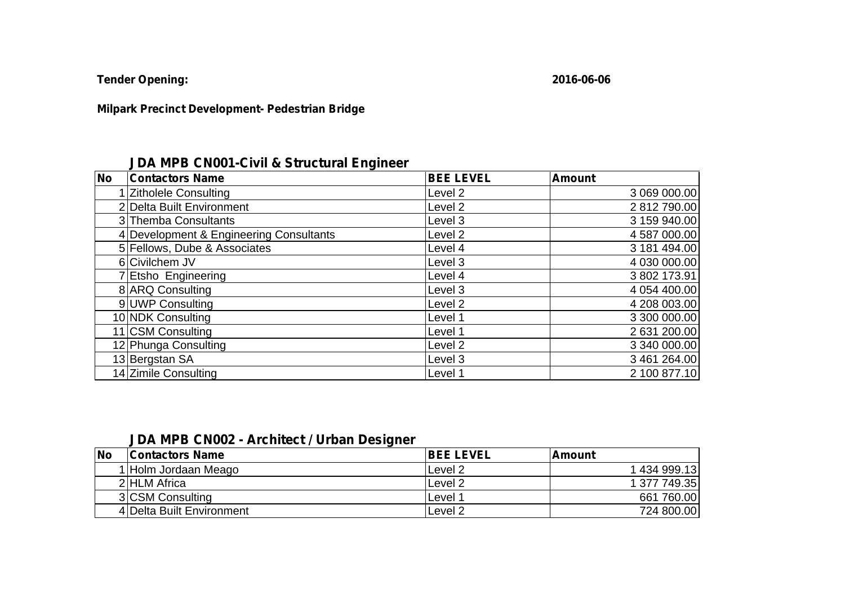**Tender Opening: 2016-06-06**

## **Milpark Precinct Development- Pedestrian Bridge**

## **JDA MPB CN001-Civil & Structural Engineer**

| <b>No</b><br><b>Contactors Name</b>     | <b>BEE LEVEL</b>   | <b>Amount</b> |
|-----------------------------------------|--------------------|---------------|
| 1 Zitholele Consulting                  | Level 2            | 3 069 000.00  |
| 2 Delta Built Environment               | Level <sub>2</sub> | 2812790.00    |
| 3 Themba Consultants                    | Level 3            | 3 159 940.00  |
| 4 Development & Engineering Consultants | Level <sub>2</sub> | 4 587 000.00  |
| 5 Fellows, Dube & Associates            | Level 4            | 3 181 494.00  |
| 6 Civilchem JV                          | Level 3            | 4 030 000.00  |
| 7 Etsho Engineering                     | Level 4            | 3 802 173.91  |
| 8 ARQ Consulting                        | Level 3            | 4 054 400.00  |
| 9 UWP Consulting                        | Level 2            | 4 208 003.00  |
| 10 NDK Consulting                       | Level 1            | 3 300 000.00  |
| 11 CSM Consulting                       | Level 1            | 2 631 200.00  |
| 12 Phunga Consulting                    | Level <sub>2</sub> | 3 340 000.00  |
| 13 Bergstan SA                          | Level 3            | 3 461 264.00  |
| 14 Zimile Consulting                    | Level 1            | 2 100 877.10  |

## **JDA MPB CN002 - Architect / Urban Designer**

| <b>No</b> | <b>Contactors Name</b>    | <b>IBEE LEVEL</b>  | l Amount     |
|-----------|---------------------------|--------------------|--------------|
|           | 1 Holm Jordaan Meago      | Level 2            | 1 434 999.13 |
|           | 2 HLM Africa              | Level 2            | 1 377 749.35 |
|           | 3 CSM Consulting          | Level              | 661 760.00   |
|           | 4 Delta Built Environment | Level <sub>2</sub> | 724 800.00   |